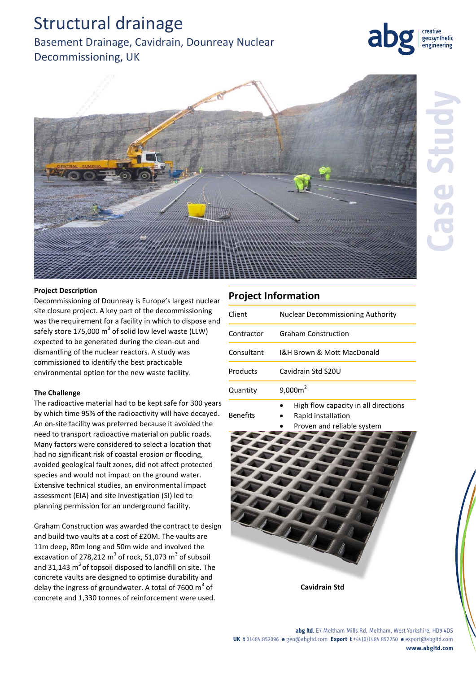# Structural drainage

# Basement Drainage, Cavidrain, Dounreay Nuclear Decommissioning, UK

### **Project Description**

Decommissioning of Dounreay is Europe's largest nuclear site closure project. A key part of the decommissioning was the requirement for a facility in which to dispose and safely store 175,000  $m^3$  of solid low level waste (LLW) expected to be generated during the clean-out and dismantling of the nuclear reactors. A study was commissioned to identify the best practicable environmental option for the new waste facility.

### **The Challenge**

The radioactive material had to be kept safe for 300 years by which time 95% of the radioactivity will have decayed. An on-site facility was preferred because it avoided the need to transport radioactive material on public roads. Many factors were considered to select a location that had no significant risk of coastal erosion or flooding, avoided geological fault zones, did not affect protected species and would not impact on the ground water. Extensive technical studies, an environmental impact assessment (EIA) and site investigation (SI) led to planning permission for an underground facility.

Graham Construction was awarded the contract to design and build two vaults at a cost of £20M. The vaults are 11m deep, 80m long and 50m wide and involved the excavation of 278,212  $m^3$  of rock, 51,073  $m^3$  of subsoil and 31,143  $m<sup>3</sup>$  of topsoil disposed to landfill on site. The concrete vaults are designed to optimise durability and delay the ingress of groundwater. A total of 7600  $m^3$  of concrete and 1,330 tonnes of reinforcement were used.

## **Project Information**

| Client          | Nuclear Decommissioning Authority                          |
|-----------------|------------------------------------------------------------|
| Contractor      | <b>Graham Construction</b>                                 |
| Consultant      | I&H Brown & Mott MacDonald                                 |
| Products        | Cavidrain Std S20U                                         |
| Quantity        | $9,000m^2$                                                 |
| <b>Benefits</b> | High flow capacity in all directions<br>Rapid installation |

Rapid installation



**Cavidrain Std**